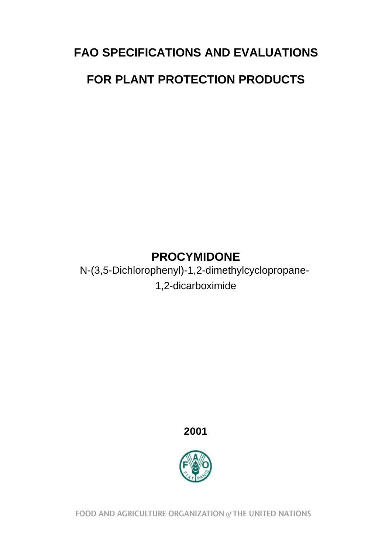# **FAO SPECIFICATIONS AND EVALUATIONS FOR PLANT PROTECTION PRODUCTS**

## **PROCYMIDONE**

N-(3,5-Dichlorophenyl)-1,2-dimethylcyclopropane-1,2-dicarboximide

## **2001**



FOOD AND AGRICULTURE ORGANIZATION of THE UNITED NATIONS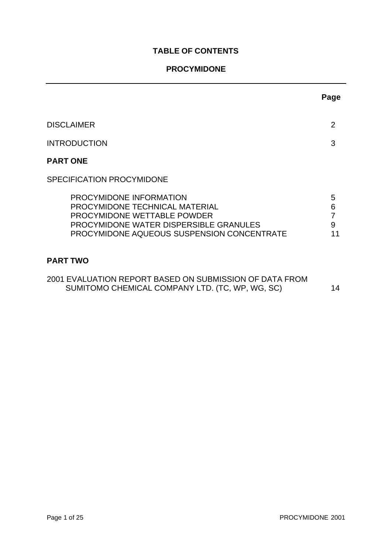## **TABLE OF CONTENTS**

## **PROCYMIDONE**

|                                                                                                                                                                                  | Page                   |
|----------------------------------------------------------------------------------------------------------------------------------------------------------------------------------|------------------------|
| <b>DISCLAIMER</b>                                                                                                                                                                | 2                      |
| <b>INTRODUCTION</b>                                                                                                                                                              | 3                      |
| <b>PART ONE</b>                                                                                                                                                                  |                        |
| SPECIFICATION PROCYMIDONE                                                                                                                                                        |                        |
| PROCYMIDONE INFORMATION<br>PROCYMIDONE TECHNICAL MATERIAL<br>PROCYMIDONE WETTABLE POWDER<br>PROCYMIDONE WATER DISPERSIBLE GRANULES<br>PROCYMIDONE AQUEOUS SUSPENSION CONCENTRATE | 5<br>6<br>7<br>9<br>11 |
| <b>PART TWO</b>                                                                                                                                                                  |                        |
| 2001 EVALUATION REPORT BASED ON SUBMISSION OF DATA FROM<br>SUMITOMO CHEMICAL COMPANY LTD. (TC, WP, WG, SC)                                                                       | 14                     |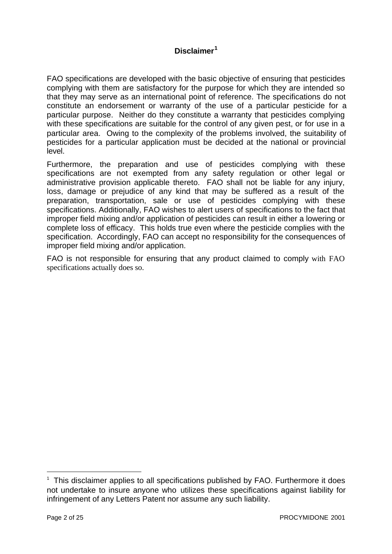## **Disclaimer<sup>1</sup>**

FAO specifications are developed with the basic objective of ensuring that pesticides complying with them are satisfactory for the purpose for which they are intended so that they may serve as an international point of reference. The specifications do not constitute an endorsement or warranty of the use of a particular pesticide for a particular purpose. Neither do they constitute a warranty that pesticides complying with these specifications are suitable for the control of any given pest, or for use in a particular area. Owing to the complexity of the problems involved, the suitability of pesticides for a particular application must be decided at the national or provincial level.

Furthermore, the preparation and use of pesticides complying with these specifications are not exempted from any safety regulation or other legal or administrative provision applicable thereto. FAO shall not be liable for any injury, loss, damage or prejudice of any kind that may be suffered as a result of the preparation, transportation, sale or use of pesticides complying with these specifications. Additionally, FAO wishes to alert users of specifications to the fact that improper field mixing and/or application of pesticides can result in either a lowering or complete loss of efficacy. This holds true even where the pesticide complies with the specification. Accordingly, FAO can accept no responsibility for the consequences of improper field mixing and/or application.

FAO is not responsible for ensuring that any product claimed to comply with FAO specifications actually does so.

l

<sup>&</sup>lt;sup>1</sup> This disclaimer applies to all specifications published by FAO. Furthermore it does not undertake to insure anyone who utilizes these specifications against liability for infringement of any Letters Patent nor assume any such liability.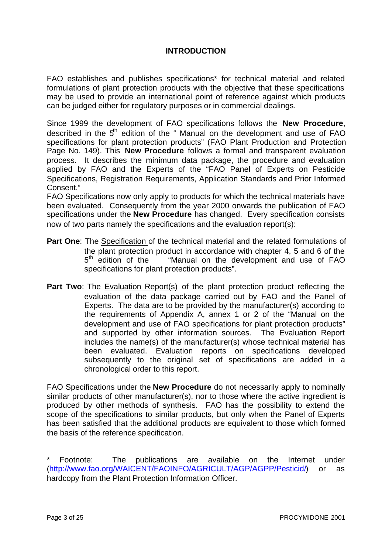#### **INTRODUCTION**

FAO establishes and publishes specifications\* for technical material and related formulations of plant protection products with the objective that these specifications may be used to provide an international point of reference against which products can be judged either for regulatory purposes or in commercial dealings.

Since 1999 the development of FAO specifications follows the **New Procedure**, described in the  $5<sup>th</sup>$  edition of the " Manual on the development and use of FAO specifications for plant protection products" (FAO Plant Production and Protection Page No. 149). This **New Procedure** follows a formal and transparent evaluation process. It describes the minimum data package, the procedure and evaluation applied by FAO and the Experts of the "FAO Panel of Experts on Pesticide Specifications, Registration Requirements, Application Standards and Prior Informed Consent."

FAO Specifications now only apply to products for which the technical materials have been evaluated. Consequently from the year 2000 onwards the publication of FAO specifications under the **New Procedure** has changed. Every specification consists now of two parts namely the specifications and the evaluation report(s):

- **Part One**: The Specification of the technical material and the related formulations of the plant protection product in accordance with chapter 4, 5 and 6 of the  $5<sup>th</sup>$  edition of the "Manual on the development and use of FAO specifications for plant protection products".
- **Part Two**: The Evaluation Report(s) of the plant protection product reflecting the evaluation of the data package carried out by FAO and the Panel of Experts. The data are to be provided by the manufacturer(s) according to the requirements of Appendix A, annex 1 or 2 of the "Manual on the development and use of FAO specifications for plant protection products" and supported by other information sources. The Evaluation Report includes the name(s) of the manufacturer(s) whose technical material has been evaluated. Evaluation reports on specifications developed subsequently to the original set of specifications are added in a chronological order to this report.

FAO Specifications under the **New Procedure** do not necessarily apply to nominally similar products of other manufacturer(s), nor to those where the active ingredient is produced by other methods of synthesis. FAO has the possibility to extend the scope of the specifications to similar products, but only when the Panel of Experts has been satisfied that the additional products are equivalent to those which formed the basis of the reference specification.

Footnote: The publications are available on the Internet under [\(http://www.fao.org/WAICENT/FAOINFO/AGRICULT/AGP/AGPP/Pesticid/\)](http://www.fao.org/ag/AGP/AGPP/Pesticid/Default.htm) or as hardcopy from the Plant Protection Information Officer.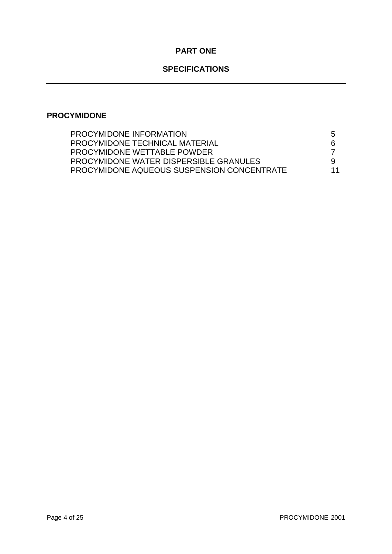## **PART ONE**

## **SPECIFICATIONS**

## **PROCYMIDONE**

| PROCYMIDONE INFORMATION                    | $\mathbf b$ |
|--------------------------------------------|-------------|
| PROCYMIDONE TECHNICAL MATERIAL             | 6           |
| PROCYMIDONE WETTABLE POWDER                |             |
| PROCYMIDONE WATER DISPERSIBLE GRANULES     |             |
| PROCYMIDONE AQUEOUS SUSPENSION CONCENTRATE | 11          |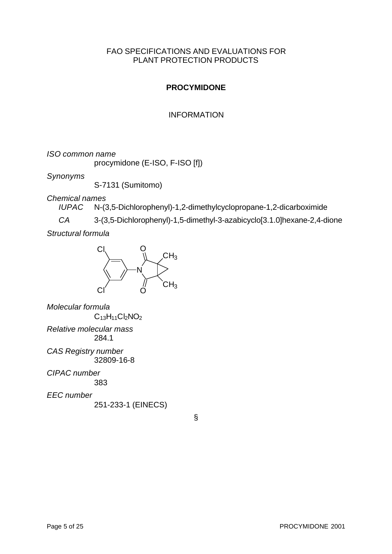#### FAO SPECIFICATIONS AND EVALUATIONS FOR PLANT PROTECTION PRODUCTS

## **PROCYMIDONE**

#### INFORMATION

*ISO common name*

procymidone (E-ISO, F-ISO [f])

*Synonyms*

S-7131 (Sumitomo)

*Chemical names*

*IUPAC* N-(3,5-Dichlorophenyl)-1,2-dimethylcyclopropane-1,2-dicarboximide

*CA* 3-(3,5-Dichlorophenyl)-1,5-dimethyl-3-azabicyclo[3.1.0]hexane-2,4-dione

*Structural formula*



*Molecular formula*  $C_{13}H_{11}Cl_2NO_2$ *Relative molecular mass* 284.1

*CAS Registry number* 32809-16-8

*CIPAC number* 383

*EEC number* 251-233-1 (EINECS)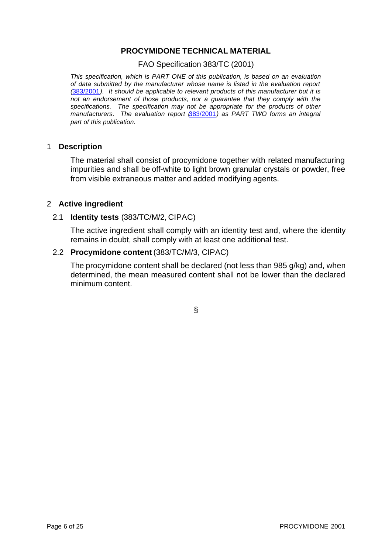#### **PROCYMIDONE TECHNICAL MATERIAL**

FAO Specification 383/TC (2001)

*This specification, which is PART ONE of this publication, is based on an evaluation of data submitted by the manufacturer whose name is listed in the evaluation report (*[383/2001](#page-13-0)*). It should be applicable to relevant products of this manufacturer but it is not an endorsement of those products, nor a guarantee that they comply with the specifications. The specification may not be appropriate for the products of other manufacturers. The evaluation report (*[383/2001](#page-13-0)*) as PART TWO forms an integral part of this publication.*

#### 1 **Description**

The material shall consist of procymidone together with related manufacturing impurities and shall be off-white to light brown granular crystals or powder, free from visible extraneous matter and added modifying agents.

#### 2 **Active ingredient**

#### 2.1 **Identity tests** (383/TC/M/2, CIPAC)

The active ingredient shall comply with an identity test and, where the identity remains in doubt, shall comply with at least one additional test.

#### 2.2 **Procymidone content** (383/TC/M/3, CIPAC)

The procymidone content shall be declared (not less than 985 g/kg) and, when determined, the mean measured content shall not be lower than the declared minimum content.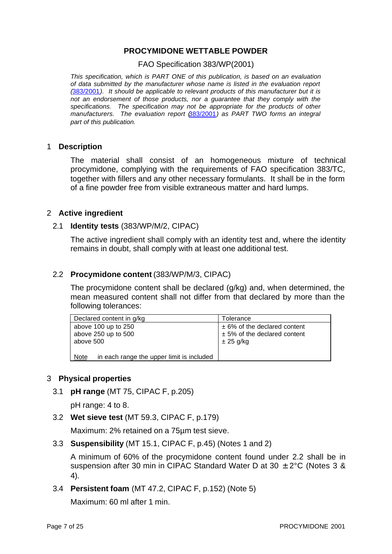#### **PROCYMIDONE WETTABLE POWDER**

FAO Specification 383/WP(2001)

*This specification, which is PART ONE of this publication, is based on an evaluation of data submitted by the manufacturer whose name is listed in the evaluation report (*[383/2001](#page-13-0)*). It should be applicable to relevant products of this manufacturer but it is not an endorsement of those products, nor a guarantee that they comply with the specifications. The specification may not be appropriate for the products of other manufacturers. The evaluation report (*[383/2001](#page-13-0)*) as PART TWO forms an integral part of this publication.*

#### 1 **Description**

The material shall consist of an homogeneous mixture of technical procymidone, complying with the requirements of FAO specification 383/TC, together with fillers and any other necessary formulants. It shall be in the form of a fine powder free from visible extraneous matter and hard lumps.

#### 2 **Active ingredient**

#### 2.1 **Identity tests** (383/WP/M/2, CIPAC)

The active ingredient shall comply with an identity test and, where the identity remains in doubt, shall comply with at least one additional test.

#### 2.2 **Procymidone content** (383/WP/M/3, CIPAC)

The procymidone content shall be declared (g/kg) and, when determined, the mean measured content shall not differ from that declared by more than the following tolerances:

| Declared content in g/kg                                 | Tolerance                      |
|----------------------------------------------------------|--------------------------------|
| above 100 up to 250                                      | $± 6%$ of the declared content |
| above 250 up to 500                                      | $± 5%$ of the declared content |
| above 500                                                | $\pm 25$ g/kg                  |
|                                                          |                                |
| in each range the upper limit is included<br><b>Note</b> |                                |

#### 3 **Physical properties**

3.1 **pH range** (MT 75, CIPAC F, p.205)

pH range: 4 to 8.

3.2 **Wet sieve test** (MT 59.3, CIPAC F, p.179)

Maximum: 2% retained on a 75µm test sieve.

3.3 **Suspensibility** (MT 15.1, CIPAC F, p.45) (Notes 1 and 2)

A minimum of 60% of the procymidone content found under 2.2 shall be in suspension after 30 min in CIPAC Standard Water D at 30  $\pm$  2°C (Notes 3 & 4).

3.4 **Persistent foam** (MT 47.2, CIPAC F, p.152) (Note 5)

Maximum: 60 ml after 1 min.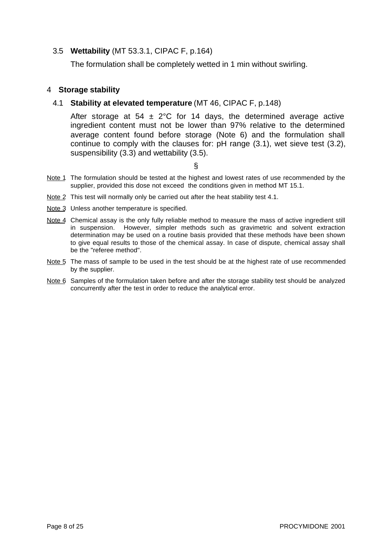#### 3.5 **Wettability** (MT 53.3.1, CIPAC F, p.164)

The formulation shall be completely wetted in 1 min without swirling.

#### 4 **Storage stability**

#### 4.1 **Stability at elevated temperature** (MT 46, CIPAC F, p.148)

After storage at 54  $\pm$  2°C for 14 days, the determined average active ingredient content must not be lower than 97% relative to the determined average content found before storage (Note 6) and the formulation shall continue to comply with the clauses for: pH range (3.1), wet sieve test (3.2), suspensibility (3.3) and wettability (3.5).

- Note 1 The formulation should be tested at the highest and lowest rates of use recommended by the supplier, provided this dose not exceed the conditions given in method MT 15.1.
- Note 2 This test will normally only be carried out after the heat stability test 4.1.
- Note 3 Unless another temperature is specified.
- Note 4 Chemical assay is the only fully reliable method to measure the mass of active ingredient still in suspension. However, simpler methods such as gravimetric and solvent extraction determination may be used on a routine basis provided that these methods have been shown to give equal results to those of the chemical assay. In case of dispute, chemical assay shall be the "referee method".
- Note 5 The mass of sample to be used in the test should be at the highest rate of use recommended by the supplier.
- Note 6 Samples of the formulation taken before and after the storage stability test should be analyzed concurrently after the test in order to reduce the analytical error.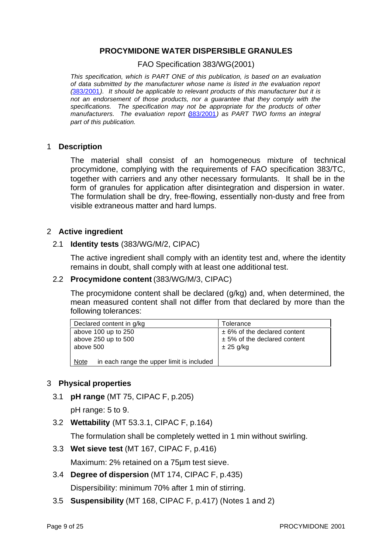#### **PROCYMIDONE WATER DISPERSIBLE GRANULES**

FAO Specification 383/WG(2001)

*This specification, which is PART ONE of this publication, is based on an evaluation of data submitted by the manufacturer whose name is listed in the evaluation report (*[383/2001](#page-13-0)*). It should be applicable to relevant products of this manufacturer but it is not an endorsement of those products, nor a guarantee that they comply with the specifications. The specification may not be appropriate for the products of other manufacturers. The evaluation report (*[383/2001](#page-13-0)*) as PART TWO forms an integral part of this publication.*

#### 1 **Description**

The material shall consist of an homogeneous mixture of technical procymidone, complying with the requirements of FAO specification 383/TC, together with carriers and any other necessary formulants. It shall be in the form of granules for application after disintegration and dispersion in water. The formulation shall be dry, free-flowing, essentially non-dusty and free from visible extraneous matter and hard lumps.

#### 2 **Active ingredient**

#### 2.1 **Identity tests** (383/WG/M/2, CIPAC)

The active ingredient shall comply with an identity test and, where the identity remains in doubt, shall comply with at least one additional test.

#### 2.2 **Procymidone content** (383/WG/M/3, CIPAC)

The procymidone content shall be declared (g/kg) and, when determined, the mean measured content shall not differ from that declared by more than the following tolerances:

| Declared content in g/kg                          | Tolerance                      |  |  |
|---------------------------------------------------|--------------------------------|--|--|
| above 100 up to $250$                             | $± 6%$ of the declared content |  |  |
| above 250 up to 500                               | $± 5%$ of the declared content |  |  |
| above 500                                         | $\pm 25$ g/kg                  |  |  |
|                                                   |                                |  |  |
| in each range the upper limit is included<br>Note |                                |  |  |

#### 3 **Physical properties**

3.1 **pH range** (MT 75, CIPAC F, p.205)

pH range: 5 to 9.

3.2 **Wettability** (MT 53.3.1, CIPAC F, p.164)

The formulation shall be completely wetted in 1 min without swirling.

3.3 **Wet sieve test** (MT 167, CIPAC F, p.416)

Maximum: 2% retained on a 75µm test sieve.

- 3.4 **Degree of dispersion** (MT 174, CIPAC F, p.435) Dispersibility: minimum 70% after 1 min of stirring.
- 3.5 **Suspensibility** (MT 168, CIPAC F, p.417) (Notes 1 and 2)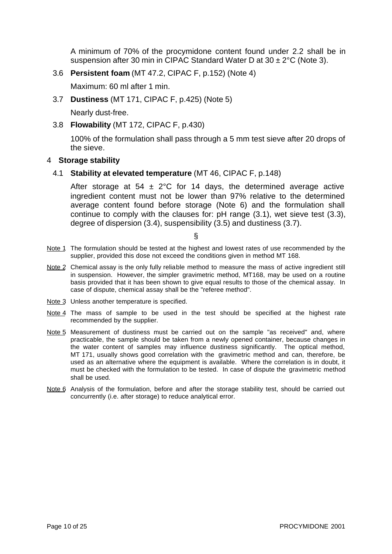A minimum of 70% of the procymidone content found under 2.2 shall be in suspension after 30 min in CIPAC Standard Water D at  $30 \pm 2^{\circ}$ C (Note 3).

3.6 **Persistent foam** (MT 47.2, CIPAC F, p.152) (Note 4)

Maximum: 60 ml after 1 min.

3.7 **Dustiness** (MT 171, CIPAC F, p.425) (Note 5)

Nearly dust-free.

3.8 **Flowability** (MT 172, CIPAC F, p.430)

 100% of the formulation shall pass through a 5 mm test sieve after 20 drops of the sieve.

#### 4 **Storage stability**

4.1 **Stability at elevated temperature** (MT 46, CIPAC F, p.148)

After storage at 54  $\pm$  2°C for 14 days, the determined average active ingredient content must not be lower than 97% relative to the determined average content found before storage (Note 6) and the formulation shall continue to comply with the clauses for: pH range (3.1), wet sieve test (3.3), degree of dispersion (3.4), suspensibility (3.5) and dustiness (3.7).

- Note 1 The formulation should be tested at the highest and lowest rates of use recommended by the supplier, provided this dose not exceed the conditions given in method MT 168.
- Note 2 Chemical assay is the only fully reliable method to measure the mass of active ingredient still in suspension. However, the simpler gravimetric method, MT168, may be used on a routine basis provided that it has been shown to give equal results to those of the chemical assay. In case of dispute, chemical assay shall be the "referee method".
- Note 3 Unless another temperature is specified.
- Note 4 The mass of sample to be used in the test should be specified at the highest rate recommended by the supplier.
- Note 5 Measurement of dustiness must be carried out on the sample "as received" and, where practicable, the sample should be taken from a newly opened container, because changes in the water content of samples may influence dustiness significantly. The optical method, MT 171, usually shows good correlation with the gravimetric method and can, therefore, be used as an alternative where the equipment is available. Where the correlation is in doubt, it must be checked with the formulation to be tested. In case of dispute the gravimetric method shall be used.
- Note 6 Analysis of the formulation, before and after the storage stability test, should be carried out concurrently (i.e. after storage) to reduce analytical error.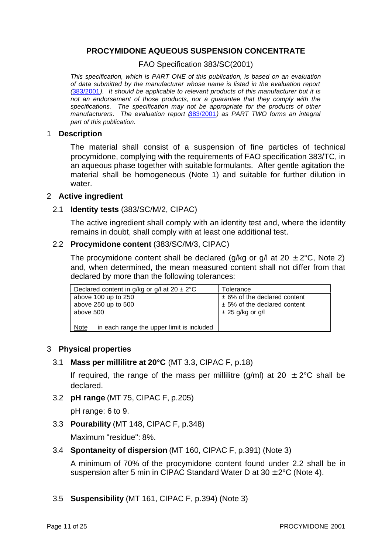#### **PROCYMIDONE AQUEOUS SUSPENSION CONCENTRATE**

FAO Specification 383/SC(2001)

*This specification, which is PART ONE of this publication, is based on an evaluation of data submitted by the manufacturer whose name is listed in the evaluation report (*[383/2001](#page-13-0)*). It should be applicable to relevant products of this manufacturer but it is not an endorsement of those products, nor a guarantee that they comply with the specifications. The specification may not be appropriate for the products of other manufacturers. The evaluation report (*[383/2001](#page-13-0)*) as PART TWO forms an integral part of this publication.*

#### 1 **Description**

The material shall consist of a suspension of fine particles of technical procymidone, complying with the requirements of FAO specification 383/TC, in an aqueous phase together with suitable formulants. After gentle agitation the material shall be homogeneous (Note 1) and suitable for further dilution in water.

#### 2 **Active ingredient**

#### 2.1 **Identity tests** (383/SC/M/2, CIPAC)

The active ingredient shall comply with an identity test and, where the identity remains in doubt, shall comply with at least one additional test.

#### 2.2 **Procymidone content** (383/SC/M/3, CIPAC)

The procymidone content shall be declared (g/kg or g/l at 20  $\pm$  2°C, Note 2) and, when determined, the mean measured content shall not differ from that declared by more than the following tolerances:

| Declared content in g/kg or g/l at $20 \pm 2^{\circ}$ C | Tolerance                      |  |
|---------------------------------------------------------|--------------------------------|--|
| above 100 up to 250                                     | $± 6%$ of the declared content |  |
| above 250 up to 500                                     | $± 5%$ of the declared content |  |
| above 500                                               | $\pm 25$ g/kg or g/l           |  |
|                                                         |                                |  |
| in each range the upper limit is included<br>Note       |                                |  |

#### 3 **Physical properties**

#### 3.1 **Mass per millilitre at 20°C** (MT 3.3, CIPAC F, p.18)

If required, the range of the mass per millilitre (g/ml) at 20  $\pm$  2°C shall be declared.

3.2 **pH range** (MT 75, CIPAC F, p.205)

pH range: 6 to 9.

3.3 **Pourability** (MT 148, CIPAC F, p.348)

Maximum "residue": 8%.

3.4 **Spontaneity of dispersion** (MT 160, CIPAC F, p.391) (Note 3)

A minimum of 70% of the procymidone content found under 2.2 shall be in suspension after 5 min in CIPAC Standard Water D at  $30 \pm 2^{\circ}$ C (Note 4).

3.5 **Suspensibility** (MT 161, CIPAC F, p.394) (Note 3)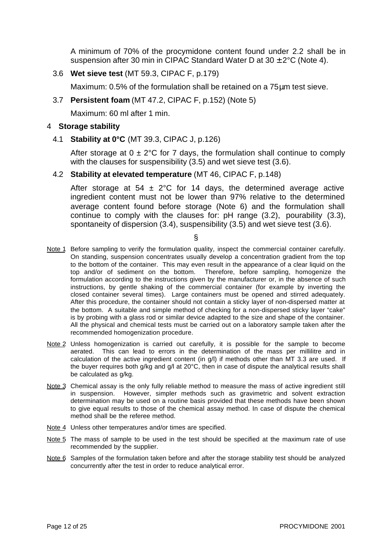A minimum of 70% of the procymidone content found under 2.2 shall be in suspension after 30 min in CIPAC Standard Water D at  $30 \pm 2^{\circ}$ C (Note 4).

3.6 **Wet sieve test** (MT 59.3, CIPAC F, p.179)

Maximum: 0.5% of the formulation shall be retained on a 75μm test sieve.

3.7 **Persistent foam** (MT 47.2, CIPAC F, p.152) (Note 5)

Maximum: 60 ml after 1 min.

#### 4 **Storage stability**

4.1 **Stability at 0°C** (MT 39.3, CIPAC J, p.126)

After storage at  $0 \pm 2^{\circ}$ C for 7 days, the formulation shall continue to comply with the clauses for suspensibility (3.5) and wet sieve test (3.6).

4.2 **Stability at elevated temperature** (MT 46, CIPAC F, p.148)

After storage at 54  $\pm$  2°C for 14 days, the determined average active ingredient content must not be lower than 97% relative to the determined average content found before storage (Note 6) and the formulation shall continue to comply with the clauses for: pH range (3.2), pourability (3.3), spontaneity of dispersion (3.4), suspensibility (3.5) and wet sieve test (3.6).

- Note 1 Before sampling to verify the formulation quality, inspect the commercial container carefully. On standing, suspension concentrates usually develop a concentration gradient from the top to the bottom of the container. This may even result in the appearance of a clear liquid on the top and/or of sediment on the bottom. Therefore, before sampling, homogenize the formulation according to the instructions given by the manufacturer or, in the absence of such instructions, by gentle shaking of the commercial container (for example by inverting the closed container several times). Large containers must be opened and stirred adequately. After this procedure, the container should not contain a sticky layer of non-dispersed matter at the bottom. A suitable and simple method of checking for a non-dispersed sticky layer "cake" is by probing with a glass rod or similar device adapted to the size and shape of the container. All the physical and chemical tests must be carried out on a laboratory sample taken after the recommended homogenization procedure.
- Note 2 Unless homogenization is carried out carefully, it is possible for the sample to become aerated. This can lead to errors in the determination of the mass per millilitre and in calculation of the active ingredient content (in g/l) if methods other than MT 3.3 are used. If the buyer requires both g/kg and g/l at 20°C, then in case of dispute the analytical results shall be calculated as g/kg.
- Note 3 Chemical assay is the only fully reliable method to measure the mass of active ingredient still in suspension. However, simpler methods such as gravimetric and solvent extraction determination may be used on a routine basis provided that these methods have been shown to give equal results to those of the chemical assay method. In case of dispute the chemical method shall be the referee method.
- Note 4 Unless other temperatures and/or times are specified.
- Note 5 The mass of sample to be used in the test should be specified at the maximum rate of use recommended by the supplier.
- Note 6 Samples of the formulation taken before and after the storage stability test should be analyzed concurrently after the test in order to reduce analytical error.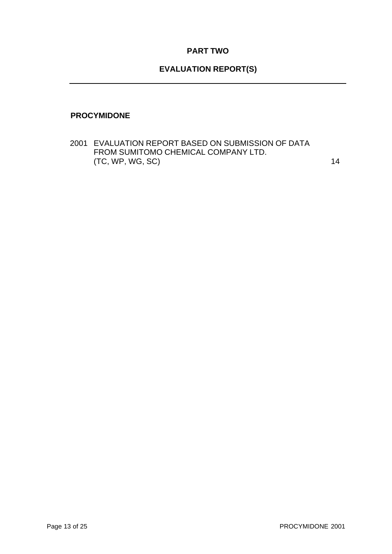## **PART TWO**

## **EVALUATION REPORT(S)**

#### <span id="page-13-0"></span>**PROCYMIDONE**

2001 EVALUATION REPORT BASED ON SUBMISSION OF DATA FROM SUMITOMO CHEMICAL COMPANY LTD. (TC, WP, WG, SC) 14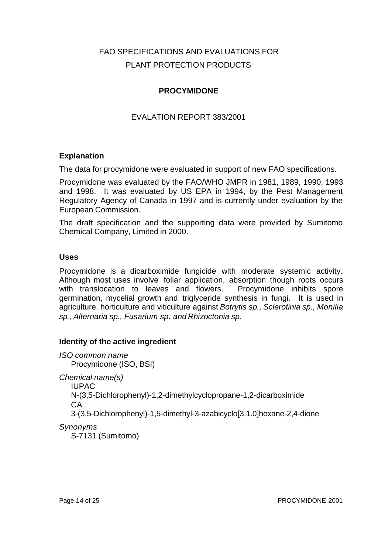## FAO SPECIFICATIONS AND EVALUATIONS FOR PLANT PROTECTION PRODUCTS

## **PROCYMIDONE**

## EVALATION REPORT 383/2001

#### **Explanation**

The data for procymidone were evaluated in support of new FAO specifications.

Procymidone was evaluated by the FAO/WHO JMPR in 1981, 1989, 1990, 1993 and 1998. It was evaluated by US EPA in 1994, by the Pest Management Regulatory Agency of Canada in 1997 and is currently under evaluation by the European Commission.

The draft specification and the supporting data were provided by Sumitomo Chemical Company, Limited in 2000.

#### **Uses**

Procymidone is a dicarboximide fungicide with moderate systemic activity. Although most uses involve foliar application, absorption though roots occurs with translocation to leaves and flowers. Procymidone inhibits spore germination, mycelial growth and triglyceride synthesis in fungi. It is used in agriculture, horticulture and viticulture against *Botrytis sp., Sclerotinia sp., Monilia sp., Alternaria sp., Fusarium sp. and Rhizoctonia sp*.

#### **Identity of the active ingredient**

*ISO common name* Procymidone (ISO, BSI) *Chemical name(s)* IUPAC N-(3,5-Dichlorophenyl)-1,2-dimethylcyclopropane-1,2-dicarboximide CA 3-(3,5-Dichlorophenyl)-1,5-dimethyl-3-azabicyclo[3.1.0]hexane-2,4-dione *Synonyms* S-7131 (Sumitomo)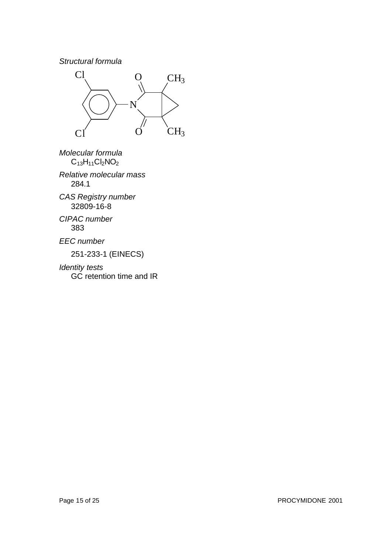#### *Structural formula*



*Molecular formula*  $C_{13}H_{11}Cl_2NO_2$ 

*Relative molecular mass* 284.1

*CAS Registry number* 32809-16-8

*CIPAC number* 383

*EEC number*

251-233-1 (EINECS)

*Identity tests* GC retention time and IR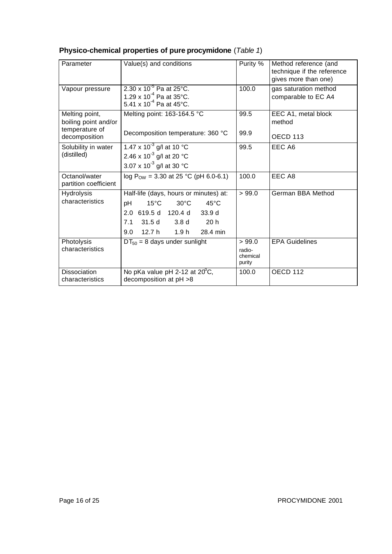| Parameter                              | Value(s) and conditions                                                                                                                                                                                       | Purity %                               | Method reference (and<br>technique if the reference<br>gives more than one) |
|----------------------------------------|---------------------------------------------------------------------------------------------------------------------------------------------------------------------------------------------------------------|----------------------------------------|-----------------------------------------------------------------------------|
| Vapour pressure                        | 2.30 x $10^{-5}$ Pa at 25°C.<br>1.29 x 10 <sup>-4</sup> Pa at 35°C.<br>5.41 x 10 <sup>-4</sup> Pa at 45°C.                                                                                                    | 100.0                                  | gas saturation method<br>comparable to EC A4                                |
| Melting point,<br>boiling point and/or | Melting point: 163-164.5 °C                                                                                                                                                                                   | 99.5                                   | EEC A1, metal block<br>method                                               |
| temperature of<br>decomposition        | Decomposition temperature: 360 °C                                                                                                                                                                             | 99.9                                   | OECD <sub>113</sub>                                                         |
| Solubility in water<br>(distilled)     | 1.47 x 10 <sup>-3</sup> g/l at 10 °C<br>2.46 x 10 <sup>-3</sup> g/l at 20 °C<br>3.07 x 10 <sup>-3</sup> g/l at 30 °C                                                                                          | 99.5                                   | EEC A6                                                                      |
| Octanol/water<br>partition coefficient | log P <sub>ow</sub> = 3.30 at 25 °C (pH 6.0-6.1)                                                                                                                                                              | 100.0                                  | EEC A8                                                                      |
| <b>Hydrolysis</b><br>characteristics   | Half-life (days, hours or minutes) at:<br>$30^{\circ}$ C<br>$15^{\circ}$ C<br>$45^{\circ}$ C<br>рH<br>2.0 619.5 d 120.4 d 33.9 d<br>7.1 31.5 d 3.8 d<br>20 <sub>h</sub><br>9.0<br>12.7 h<br>1.9 h<br>28.4 min | >99.0                                  | German BBA Method                                                           |
| Photolysis<br>characteristics          | $DT_{50} = 8$ days under sunlight                                                                                                                                                                             | > 99.0<br>radio-<br>chemical<br>purity | <b>EPA Guidelines</b>                                                       |
| <b>Dissociation</b><br>characteristics | No pKa value pH 2-12 at $20^{\circ}$ C,<br>decomposition at pH >8                                                                                                                                             | 100.0                                  | OECD 112                                                                    |

## **Physico-chemical properties of pure procymidone** (*Table 1*)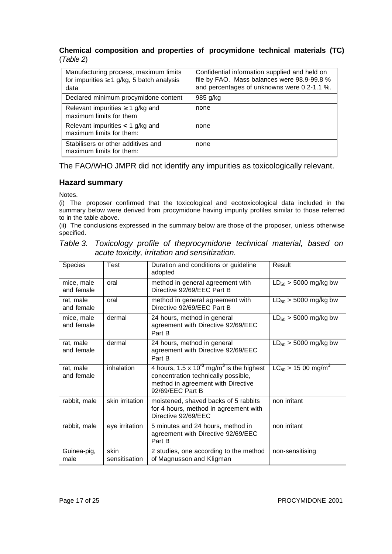#### **Chemical composition and properties of procymidone technical materials (TC)** (*Table 2*)

| Manufacturing process, maximum limits<br>for impurities $3$ 1 g/kg, 5 batch analysis<br>data | Confidential information supplied and held on<br>file by FAO. Mass balances were 98.9-99.8 %<br>and percentages of unknowns were 0.2-1.1 %. |
|----------------------------------------------------------------------------------------------|---------------------------------------------------------------------------------------------------------------------------------------------|
| Declared minimum procymidone content                                                         | 985 g/kg                                                                                                                                    |
| Relevant impurities <sup>3</sup> 1 g/kg and<br>maximum limits for them                       | none                                                                                                                                        |
| Relevant impurities $\lt$ 1 g/kg and<br>maximum limits for them:                             | none                                                                                                                                        |
| Stabilisers or other additives and<br>maximum limits for them:                               | none                                                                                                                                        |

The FAO/WHO JMPR did not identify any impurities as toxicologically relevant.

#### **Hazard summary**

Notes.

(i) The proposer confirmed that the toxicological and ecotoxicological data included in the summary below were derived from procymidone having impurity profiles similar to those referred to in the table above.

(ii) The conclusions expressed in the summary below are those of the proposer, unless otherwise specified.

|  |  | Table 3. Toxicology profile of theprocymidone technical material, based on |  |  |
|--|--|----------------------------------------------------------------------------|--|--|
|  |  | acute toxicity, irritation and sensitization.                              |  |  |

| <b>Species</b>           | Test                  | Duration and conditions or guideline<br>adopted                                                                                                                 | Result                              |
|--------------------------|-----------------------|-----------------------------------------------------------------------------------------------------------------------------------------------------------------|-------------------------------------|
| mice, male<br>and female | oral                  | method in general agreement with<br>Directive 92/69/EEC Part B                                                                                                  | $LD_{50} > 5000$ mg/kg bw           |
| rat, male<br>and female  | oral                  | method in general agreement with<br>Directive 92/69/EEC Part B                                                                                                  | $LD_{50}$ > 5000 mg/kg bw           |
| mice, male<br>and female | dermal                | 24 hours, method in general<br>agreement with Directive 92/69/EEC<br>Part B                                                                                     | $LD_{50} > 5000$ mg/kg bw           |
| rat, male<br>and female  | dermal                | 24 hours, method in general<br>agreement with Directive 92/69/EEC<br>Part B                                                                                     | $LD_{50} > 5000$ mg/kg bw           |
| rat, male<br>and female  | inhalation            | 4 hours, $1.5 \times 10^{-3}$ mg/m <sup>3</sup> is the highest<br>concentration technically possible,<br>method in agreement with Directive<br>92/69/EEC Part B | $LC_{50}$ > 15 00 mg/m <sup>3</sup> |
| rabbit, male             | skin irritation       | moistened, shaved backs of 5 rabbits<br>for 4 hours, method in agreement with<br>Directive 92/69/EEC                                                            | non irritant                        |
| rabbit, male             | eye irritation        | 5 minutes and 24 hours, method in<br>agreement with Directive 92/69/EEC<br>Part B                                                                               | non irritant                        |
| Guinea-pig,<br>male      | skin<br>sensitisation | 2 studies, one according to the method<br>of Magnusson and Kligman                                                                                              | non-sensitising                     |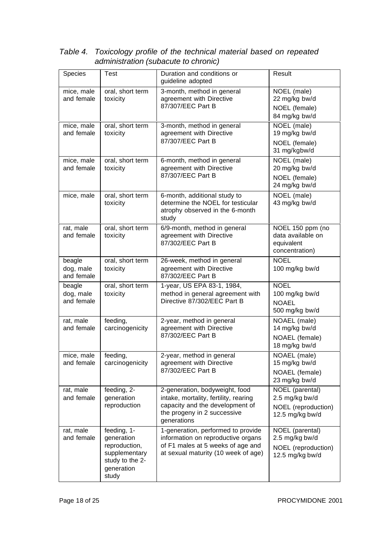| Species                           | <b>Test</b>                                                                                           | Duration and conditions or<br>guideline adopted                                                                                                          | Result                                                                      |
|-----------------------------------|-------------------------------------------------------------------------------------------------------|----------------------------------------------------------------------------------------------------------------------------------------------------------|-----------------------------------------------------------------------------|
| mice, male<br>and female          | oral, short term<br>toxicity                                                                          | 3-month, method in general<br>agreement with Directive<br>87/307/EEC Part B                                                                              | NOEL (male)<br>22 mg/kg bw/d<br>NOEL (female)<br>84 mg/kg bw/d              |
| mice, male<br>and female          | oral, short term<br>toxicity                                                                          | 3-month, method in general<br>agreement with Directive<br>87/307/EEC Part B                                                                              | NOEL (male)<br>19 mg/kg bw/d<br>NOEL (female)<br>31 mg/kgbw/d               |
| mice, male<br>and female          | oral, short term<br>toxicity                                                                          | 6-month, method in general<br>agreement with Directive<br>87/307/EEC Part B                                                                              | NOEL (male)<br>20 mg/kg bw/d<br>NOEL (female)<br>24 mg/kg bw/d              |
| mice, male                        | oral, short term<br>toxicity                                                                          | 6-month, additional study to<br>determine the NOEL for testicular<br>atrophy observed in the 6-month<br>study                                            | NOEL (male)<br>43 mg/kg bw/d                                                |
| rat, male<br>and female           | oral, short term<br>toxicity                                                                          | 6/9-month, method in general<br>agreement with Directive<br>87/302/EEC Part B                                                                            | NOEL 150 ppm (no<br>data available on<br>equivalent<br>concentration)       |
| beagle<br>dog, male<br>and female | oral, short term<br>toxicity                                                                          | 26-week, method in general<br>agreement with Directive<br>87/302/EEC Part B                                                                              | <b>NOEL</b><br>100 mg/kg bw/d                                               |
| beagle<br>dog, male<br>and female | oral, short term<br>toxicity                                                                          | 1-year, US EPA 83-1, 1984,<br>method in general agreement with<br>Directive 87/302/EEC Part B                                                            | <b>NOEL</b><br>100 mg/kg bw/d<br><b>NOAEL</b><br>500 mg/kg bw/d             |
| rat, male<br>and female           | feeding,<br>carcinogenicity                                                                           | 2-year, method in general<br>agreement with Directive<br>87/302/EEC Part B                                                                               | NOAEL (male)<br>14 mg/kg bw/d<br>NOAEL (female)<br>18 mg/kg bw/d            |
| mice, male<br>and female          | feeding,<br>carcinogenicity                                                                           | 2-year, method in general<br>agreement with Directive<br>87/302/EEC Part B                                                                               | NOAEL (male)<br>15 mg/kg bw/d<br>NOAEL (female)<br>23 mg/kg bw/d            |
| rat, male<br>and female           | feeding, 2-<br>generation<br>reproduction                                                             | 2-generation, bodyweight, food<br>intake, mortality, fertility, rearing<br>capacity and the development of<br>the progeny in 2 successive<br>generations | NOEL (parental)<br>2.5 mg/kg bw/d<br>NOEL (reproduction)<br>12.5 mg/kg bw/d |
| rat, male<br>and female           | feeding, 1-<br>generation<br>reproduction,<br>supplementary<br>study to the 2-<br>generation<br>study | 1-generation, performed to provide<br>information on reproductive organs<br>of F1 males at 5 weeks of age and<br>at sexual maturity (10 week of age)     | NOEL (parental)<br>2.5 mg/kg bw/d<br>NOEL (reproduction)<br>12.5 mg/kg bw/d |

*Table 4. Toxicology profile of the technical material based on repeated administration (subacute to chronic)*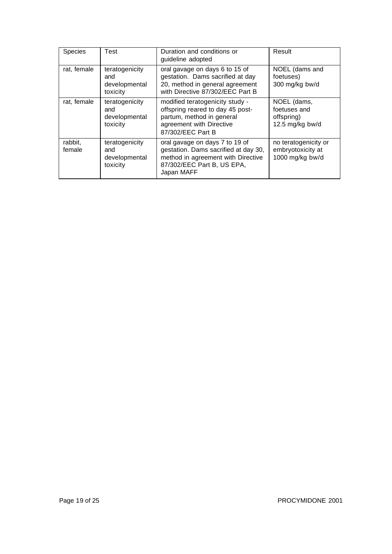| <b>Species</b>    | Test                                               | Duration and conditions or<br>guideline adopted                                                                                                          | Result                                                       |
|-------------------|----------------------------------------------------|----------------------------------------------------------------------------------------------------------------------------------------------------------|--------------------------------------------------------------|
| rat, female       | teratogenicity<br>and<br>developmental<br>toxicity | oral gavage on days 6 to 15 of<br>gestation. Dams sacrified at day<br>20, method in general agreement<br>with Directive 87/302/EEC Part B                | NOEL (dams and<br>foetuses)<br>300 mg/kg bw/d                |
| rat, female       | teratogenicity<br>and<br>developmental<br>toxicity | modified teratogenicity study -<br>offspring reared to day 45 post-<br>partum, method in general<br>agreement with Directive<br>87/302/EEC Part B        | NOEL (dams,<br>foetuses and<br>offspring)<br>12.5 mg/kg bw/d |
| rabbit,<br>female | teratogenicity<br>and<br>developmental<br>toxicity | oral gavage on days 7 to 19 of<br>gestation. Dams sacrified at day 30,<br>method in agreement with Directive<br>87/302/EEC Part B, US EPA,<br>Japan MAFF | no teratogenicity or<br>embryotoxicity at<br>1000 mg/kg bw/d |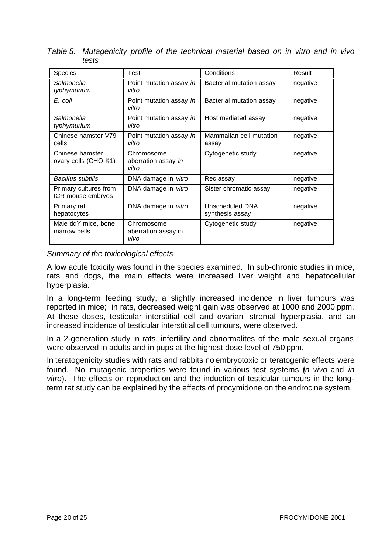| <b>Species</b>                             | Test                                       | Conditions                         | Result   |
|--------------------------------------------|--------------------------------------------|------------------------------------|----------|
| Salmonella<br>typhymurium                  | Point mutation assay in<br>vitro           | Bacterial mutation assay           | negative |
| E. coli                                    | Point mutation assay in<br>vitro           | Bacterial mutation assay           | negative |
| Salmonella<br>typhymurium                  | Point mutation assay in<br>vitro           | Host mediated assay                | negative |
| Chinese hamster V79<br>cells               | Point mutation assay in<br>vitro           | Mammalian cell mutation<br>assay   | negative |
| Chinese hamster<br>ovary cells (CHO-K1)    | Chromosome<br>aberration assay in<br>vitro | Cytogenetic study                  | negative |
| <b>Bacillus subtilis</b>                   | DNA damage in vitro                        | Rec assay                          | negative |
| Primary cultures from<br>ICR mouse embryos | DNA damage in vitro                        | Sister chromatic assay             | negative |
| Primary rat<br>hepatocytes                 | DNA damage in vitro                        | Unscheduled DNA<br>synthesis assay | negative |
| Male ddY mice, bone<br>marrow cells        | Chromosome<br>aberration assay in<br>vivo  | Cytogenetic study                  | negative |

*Table 5. Mutagenicity profile of the technical material based on in vitro and in vivo tests*

## *Summary of the toxicological effects*

A low acute toxicity was found in the species examined. In sub-chronic studies in mice, rats and dogs, the main effects were increased liver weight and hepatocellular hyperplasia.

In a long-term feeding study, a slightly increased incidence in liver tumours was reported in mice; in rats, decreased weight gain was observed at 1000 and 2000 ppm. At these doses, testicular interstitial cell and ovarian stromal hyperplasia, and an increased incidence of testicular interstitial cell tumours, were observed.

In a 2-generation study in rats, infertility and abnormalites of the male sexual organs were observed in adults and in pups at the highest dose level of 750 ppm.

In teratogenicity studies with rats and rabbits no embryotoxic or teratogenic effects were found. No mutagenic properties were found in various test systems (*in vivo* and *in vitro*). The effects on reproduction and the induction of testicular tumours in the longterm rat study can be explained by the effects of procymidone on the endrocine system.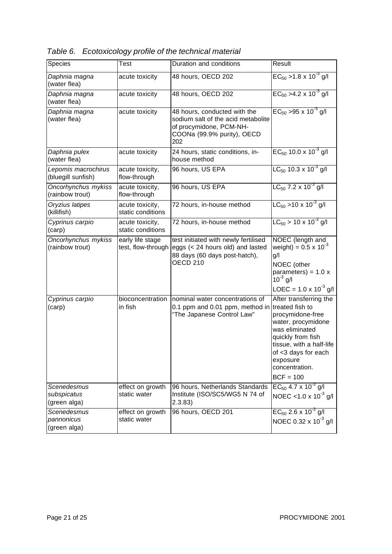| Species                                    | Test                                   | Duration and conditions                                                                                                            | Result                                                                                                                                                                                                  |
|--------------------------------------------|----------------------------------------|------------------------------------------------------------------------------------------------------------------------------------|---------------------------------------------------------------------------------------------------------------------------------------------------------------------------------------------------------|
| Daphnia magna<br>(water flea)              | acute toxicity                         | 48 hours, OECD 202                                                                                                                 | $EC_{50}$ > 1.8 x 10 <sup>-3</sup> g/l                                                                                                                                                                  |
| Daphnia magna<br>(water flea)              | acute toxicity                         | 48 hours, OECD 202                                                                                                                 | $EC_{50} > 4.2 \times 10^{-3}$ g/l                                                                                                                                                                      |
| Daphnia magna<br>(water flea)              | acute toxicity                         | 48 hours, conducted with the<br>sodium salt of the acid metabolite<br>of procymidone, PCM-NH-<br>COONa (99.9% purity), OECD<br>202 | $EC_{50}$ > 95 x 10 <sup>-3</sup> g/l                                                                                                                                                                   |
| Daphnia pulex<br>(water flea)              | acute toxicity                         | 24 hours, static conditions, in-<br>house method                                                                                   | $EC_{50}$ 10.0 x 10 <sup>-3</sup> g/l                                                                                                                                                                   |
| Lepomis macrochirus<br>(bluegill sunfish)  | acute toxicity,<br>flow-through        | 96 hours, US EPA                                                                                                                   | $LC_{50}$ 10.3 x 10 <sup>-3</sup> g/l                                                                                                                                                                   |
| Oncorhynchus mykiss<br>(rainbow trout)     | acute toxicity,<br>flow-through        | 96 hours, US EPA                                                                                                                   | $LC_{50}$ 7.2 x 10 <sup>-3</sup> g/l                                                                                                                                                                    |
| Oryzius latipes<br>(killifish)             | acute toxicity,<br>static conditions   | 72 hours, in-house method                                                                                                          | $LC_{50}$ > 10 x 10 <sup>-3</sup> g/l                                                                                                                                                                   |
| Cyprinus carpio<br>(carp)                  | acute toxicity,<br>static conditions   | 72 hours, in-house method                                                                                                          | $LC_{50}$ > 10 x 10 <sup>-3</sup> g/l                                                                                                                                                                   |
| Oncorhynchus mykiss<br>(rainbow trout)     | early life stage<br>test, flow-through | test initiated with newly fertilised<br>eggs (< 24 hours old) and lasted<br>88 days (60 days post-hatch),<br><b>OECD 210</b>       | NOEC (length and<br>weight) = $0.5 \times 10^{-3}$<br>g/l<br>NOEC (other<br>parameters) = $1.0 x$<br>$10^{-3}$ g/l<br>LOEC = $1.0 \times 10^{-3}$ g/l                                                   |
| Cyprinus carpio<br>(carp)                  | bioconcentration<br>in fish            | nominal water concentrations of<br>0.1 ppm and 0.01 ppm, method in treated fish to<br>"The Japanese Control Law"                   | After transferring the<br>procymidone-free<br>water, procymidone<br>was eliminated<br>quickly from fish<br>tissue, with a half-life<br>of <3 days for each<br>exposure<br>concentration.<br>$BCF = 100$ |
| Scenedesmus<br>subspicatus<br>(green alga) | effect on growth<br>static water       | 96 hours, Netherlands Standards<br>Institute (ISO/SC5/WG5 N 74 of<br>2.3.83)                                                       | $EC_{50}$ 4.7 x 10 <sup>-3</sup> g/l<br>NOEC <1.0 x $10^{-3}$ g/l                                                                                                                                       |
| Scenedesmus<br>pannonicus<br>(green alga)  | effect on growth<br>static water       | 96 hours, OECD 201                                                                                                                 | $EC_{50}$ 2.6 x 10 <sup>-3</sup> g/l<br>NOEC 0.32 x 10 <sup>-3</sup> g/l                                                                                                                                |

*Table 6. Ecotoxicology profile of the technical material*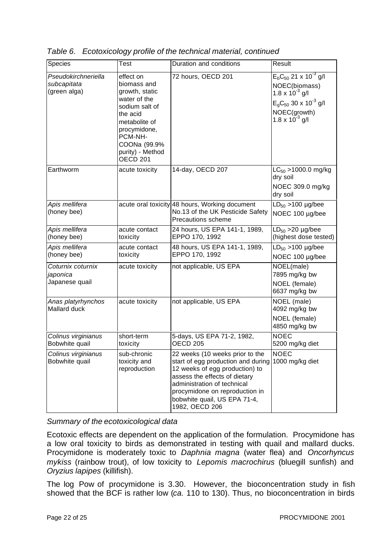| Species                                            | Test                                                                                                                                                                                        | Duration and conditions                                                                                                                                                                                                                                     | Result                                                                                                                                                          |
|----------------------------------------------------|---------------------------------------------------------------------------------------------------------------------------------------------------------------------------------------------|-------------------------------------------------------------------------------------------------------------------------------------------------------------------------------------------------------------------------------------------------------------|-----------------------------------------------------------------------------------------------------------------------------------------------------------------|
| Pseudokirchneriella<br>subcapitata<br>(green alga) | effect on<br>biomass and<br>growth, static<br>water of the<br>sodium salt of<br>the acid<br>metabolite of<br>procymidone,<br>PCM-NH-<br>COONa (99.9%<br>purity) - Method<br><b>OECD 201</b> | 72 hours, OECD 201                                                                                                                                                                                                                                          | $E_bC_{50}$ 21 x 10 <sup>-3</sup> g/l<br>NOEC(biomass)<br>1.8 x $10^{-3}$ g/l<br>$E_{g}C_{50}$ 30 x 10 <sup>-3</sup> g/l<br>NOEC(growth)<br>1.8 x $10^{-3}$ g/l |
| Earthworm                                          | acute toxicity                                                                                                                                                                              | 14-day, OECD 207                                                                                                                                                                                                                                            | $LC_{50}$ >1000.0 mg/kg<br>dry soil<br>NOEC 309.0 mg/kg<br>dry soil                                                                                             |
| Apis mellifera<br>(honey bee)                      |                                                                                                                                                                                             | acute oral toxicity 48 hours, Working document<br>No.13 of the UK Pesticide Safety<br>Precautions scheme                                                                                                                                                    | $LD_{50} > 100$ µg/bee<br>NOEC 100 µg/bee                                                                                                                       |
| Apis mellifera<br>(honey bee)                      | acute contact<br>toxicity                                                                                                                                                                   | 24 hours, US EPA 141-1, 1989,<br>EPPO 170, 1992                                                                                                                                                                                                             | $LD_{50}$ >20 $\mu$ g/bee<br>(highest dose tested)                                                                                                              |
| Apis mellifera<br>(honey bee)                      | acute contact<br>toxicity                                                                                                                                                                   | 48 hours, US EPA 141-1, 1989,<br>EPPO 170, 1992                                                                                                                                                                                                             | $LD_{50} > 100 \mu g/be$ e<br>NOEC 100 µg/bee                                                                                                                   |
| Coturnix coturnix<br>japonica<br>Japanese quail    | acute toxicity                                                                                                                                                                              | not applicable, US EPA                                                                                                                                                                                                                                      | NOEL(male)<br>7895 mg/kg bw<br>NOEL (female)<br>6637 mg/kg bw                                                                                                   |
| Anas platyrhynchos<br>Mallard duck                 | acute toxicity                                                                                                                                                                              | not applicable, US EPA                                                                                                                                                                                                                                      | NOEL (male)<br>4092 mg/kg bw<br>NOEL (female)<br>4850 mg/kg bw                                                                                                  |
| Colinus virginianus<br>Bobwhite quail              | short-term<br>toxicity                                                                                                                                                                      | 5-days, US EPA 71-2, 1982,<br><b>OECD 205</b>                                                                                                                                                                                                               | <b>NOEC</b><br>5200 mg/kg diet                                                                                                                                  |
| Colinus virginianus<br>Bobwhite quail              | sub-chronic<br>toxicity and<br>reproduction                                                                                                                                                 | 22 weeks (10 weeks prior to the<br>start of egg production and during<br>12 weeks of egg production) to<br>assess the effects of dietary<br>administration of technical<br>procymidone on reproduction in<br>bobwhite quail, US EPA 71-4,<br>1982, OECD 206 | <b>NOEC</b><br>1000 mg/kg diet                                                                                                                                  |

*Table 6. Ecotoxicology profile of the technical material, continued*

*Summary of the ecotoxicological data*

Ecotoxic effects are dependent on the application of the formulation. Procymidone has a low oral toxicity to birds as demonstrated in testing with quail and mallard ducks. Procymidone is moderately toxic to *Daphnia magna* (water flea) and *Oncorhyncus mykiss* (rainbow trout), of low toxicity to *Lepomis macrochirus* (bluegill sunfish) and *Oryzius lapipes* (killifish).

The log Pow of procymidone is 3.30. However, the bioconcentration study in fish showed that the BCF is rather low (*ca.* 110 to 130). Thus, no bioconcentration in birds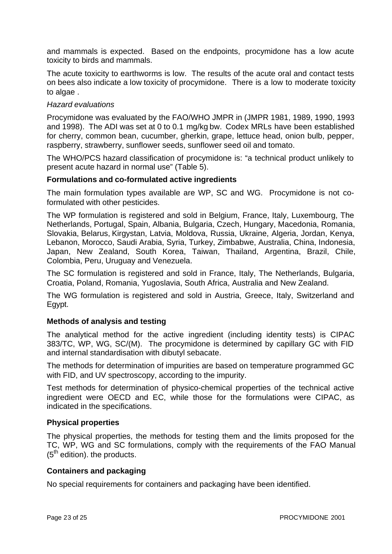and mammals is expected. Based on the endpoints, procymidone has a low acute toxicity to birds and mammals.

The acute toxicity to earthworms is low. The results of the acute oral and contact tests on bees also indicate a low toxicity of procymidone. There is a low to moderate toxicity to algae .

#### *Hazard evaluations*

Procymidone was evaluated by the FAO/WHO JMPR in (JMPR 1981, 1989, 1990, 1993 and 1998). The ADI was set at 0 to 0.1 mg/kg bw. Codex MRLs have been established for cherry, common bean, cucumber, gherkin, grape, lettuce head, onion bulb, pepper, raspberry, strawberry, sunflower seeds, sunflower seed oil and tomato.

The WHO/PCS hazard classification of procymidone is: "a technical product unlikely to present acute hazard in normal use" (Table 5).

#### **Formulations and co-formulated active ingredients**

The main formulation types available are WP, SC and WG. Procymidone is not coformulated with other pesticides.

The WP formulation is registered and sold in Belgium, France, Italy, Luxembourg, The Netherlands, Portugal, Spain, Albania, Bulgaria, Czech, Hungary, Macedonia, Romania, Slovakia, Belarus, Kirgystan, Latvia, Moldova, Russia, Ukraine, Algeria, Jordan, Kenya, Lebanon, Morocco, Saudi Arabia, Syria, Turkey, Zimbabwe, Australia, China, Indonesia, Japan, New Zealand, South Korea, Taiwan, Thailand, Argentina, Brazil, Chile, Colombia, Peru, Uruguay and Venezuela.

The SC formulation is registered and sold in France, Italy, The Netherlands, Bulgaria, Croatia, Poland, Romania, Yugoslavia, South Africa, Australia and New Zealand.

The WG formulation is registered and sold in Austria, Greece, Italy, Switzerland and Egypt.

#### **Methods of analysis and testing**

The analytical method for the active ingredient (including identity tests) is CIPAC 383/TC, WP, WG, SC/(M). The procymidone is determined by capillary GC with FID and internal standardisation with dibutyl sebacate.

The methods for determination of impurities are based on temperature programmed GC with FID, and UV spectroscopy, according to the impurity.

Test methods for determination of physico-chemical properties of the technical active ingredient were OECD and EC, while those for the formulations were CIPAC, as indicated in the specifications.

#### **Physical properties**

The physical properties, the methods for testing them and the limits proposed for the TC, WP, WG and SC formulations, comply with the requirements of the FAO Manual  $(5<sup>th</sup>$  edition). the products.

#### **Containers and packaging**

No special requirements for containers and packaging have been identified.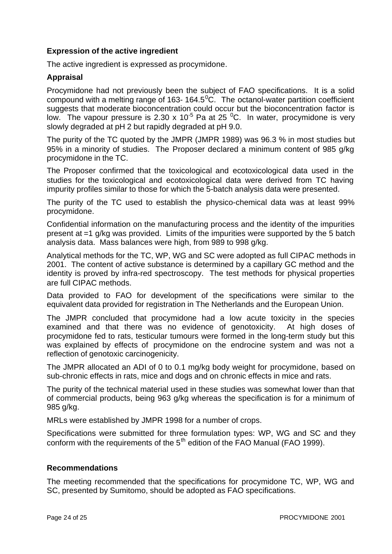#### **Expression of the active ingredient**

The active ingredient is expressed as procymidone.

#### **Appraisal**

Procymidone had not previously been the subject of FAO specifications. It is a solid compound with a melting range of 163-164.5 $^{0}$ C. The octanol-water partition coefficient suggests that moderate bioconcentration could occur but the bioconcentration factor is low. The vapour pressure is 2.30 x 10<sup>-5</sup> Pa at 25 <sup>0</sup>C. In water, procymidone is very slowly degraded at pH 2 but rapidly degraded at pH 9.0.

The purity of the TC quoted by the JMPR (JMPR 1989) was 96.3 % in most studies but 95% in a minority of studies. The Proposer declared a minimum content of 985 g/kg procymidone in the TC.

The Proposer confirmed that the toxicological and ecotoxicological data used in the studies for the toxicological and ecotoxicological data were derived from TC having impurity profiles similar to those for which the 5-batch analysis data were presented.

The purity of the TC used to establish the physico-chemical data was at least 99% procymidone.

Confidential information on the manufacturing process and the identity of the impurities present at =1 g/kg was provided. Limits of the impurities were supported by the 5 batch analysis data. Mass balances were high, from 989 to 998 g/kg.

Analytical methods for the TC, WP, WG and SC were adopted as full CIPAC methods in 2001. The content of active substance is determined by a capillary GC method and the identity is proved by infra-red spectroscopy. The test methods for physical properties are full CIPAC methods.

Data provided to FAO for development of the specifications were similar to the equivalent data provided for registration in The Netherlands and the European Union.

The JMPR concluded that procymidone had a low acute toxicity in the species examined and that there was no evidence of genotoxicity. At high doses of procymidone fed to rats, testicular tumours were formed in the long-term study but this was explained by effects of procymidone on the endrocine system and was not a reflection of genotoxic carcinogenicity.

The JMPR allocated an ADI of 0 to 0.1 mg/kg body weight for procymidone, based on sub-chronic effects in rats, mice and dogs and on chronic effects in mice and rats.

The purity of the technical material used in these studies was somewhat lower than that of commercial products, being 963 g/kg whereas the specification is for a minimum of 985 g/kg.

MRLs were established by JMPR 1998 for a number of crops.

Specifications were submitted for three formulation types: WP, WG and SC and they conform with the requirements of the  $5<sup>th</sup>$  edition of the FAO Manual (FAO 1999).

#### **Recommendations**

The meeting recommended that the specifications for procymidone TC, WP, WG and SC, presented by Sumitomo, should be adopted as FAO specifications.